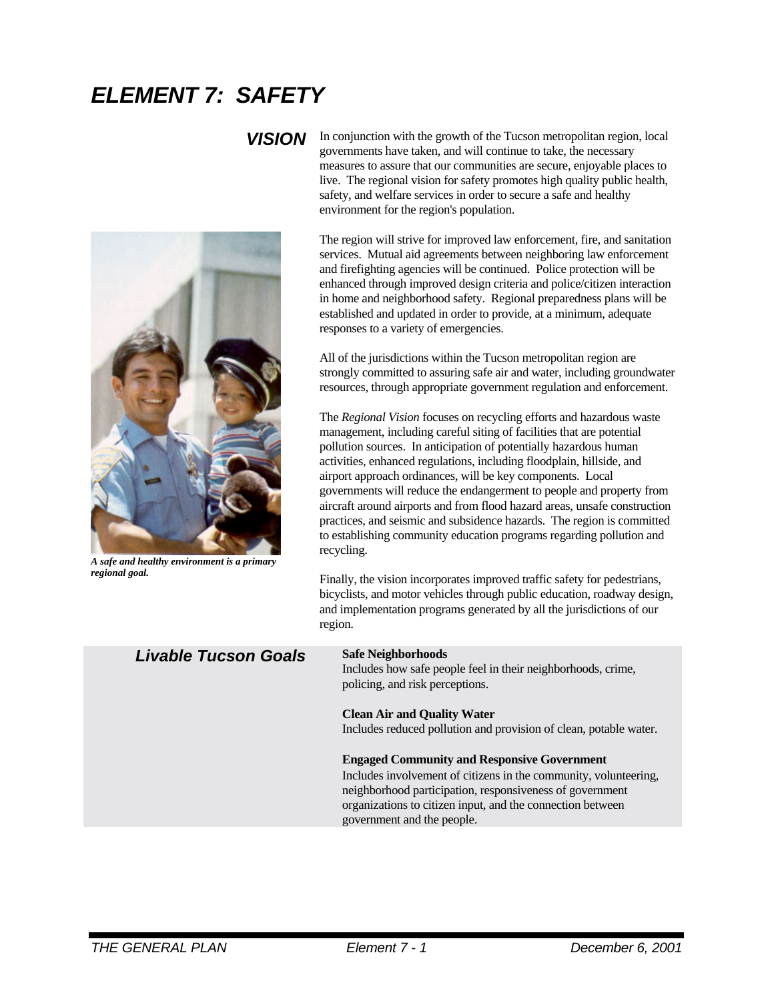# *ELEMENT 7: SAFETY*



*A safe and healthy environment is a primary regional goal.*

**VISION** In conjunction with the growth of the Tucson metropolitan region, local governments have taken, and will continue to take, the necessary measures to assure that our communities are secure, enjoyable places to live. The regional vision for safety promotes high quality public health, safety, and welfare services in order to secure a safe and healthy environment for the region's population.

> The region will strive for improved law enforcement, fire, and sanitation services. Mutual aid agreements between neighboring law enforcement and firefighting agencies will be continued. Police protection will be enhanced through improved design criteria and police/citizen interaction in home and neighborhood safety. Regional preparedness plans will be established and updated in order to provide, at a minimum, adequate responses to a variety of emergencies.

> All of the jurisdictions within the Tucson metropolitan region are strongly committed to assuring safe air and water, including groundwater resources, through appropriate government regulation and enforcement.

The *Regional Vision* focuses on recycling efforts and hazardous waste management, including careful siting of facilities that are potential pollution sources. In anticipation of potentially hazardous human activities, enhanced regulations, including floodplain, hillside, and airport approach ordinances, will be key components. Local governments will reduce the endangerment to people and property from aircraft around airports and from flood hazard areas, unsafe construction practices, and seismic and subsidence hazards. The region is committed to establishing community education programs regarding pollution and recycling.

Finally, the vision incorporates improved traffic safety for pedestrians, bicyclists, and motor vehicles through public education, roadway design, and implementation programs generated by all the jurisdictions of our region.

## *Livable Tucson Goals* **Safe Neighborhoods**

Includes how safe people feel in their neighborhoods, crime, policing, and risk perceptions.

### **Clean Air and Quality Water**

Includes reduced pollution and provision of clean, potable water.

### **Engaged Community and Responsive Government**

Includes involvement of citizens in the community, volunteering, neighborhood participation, responsiveness of government organizations to citizen input, and the connection between government and the people.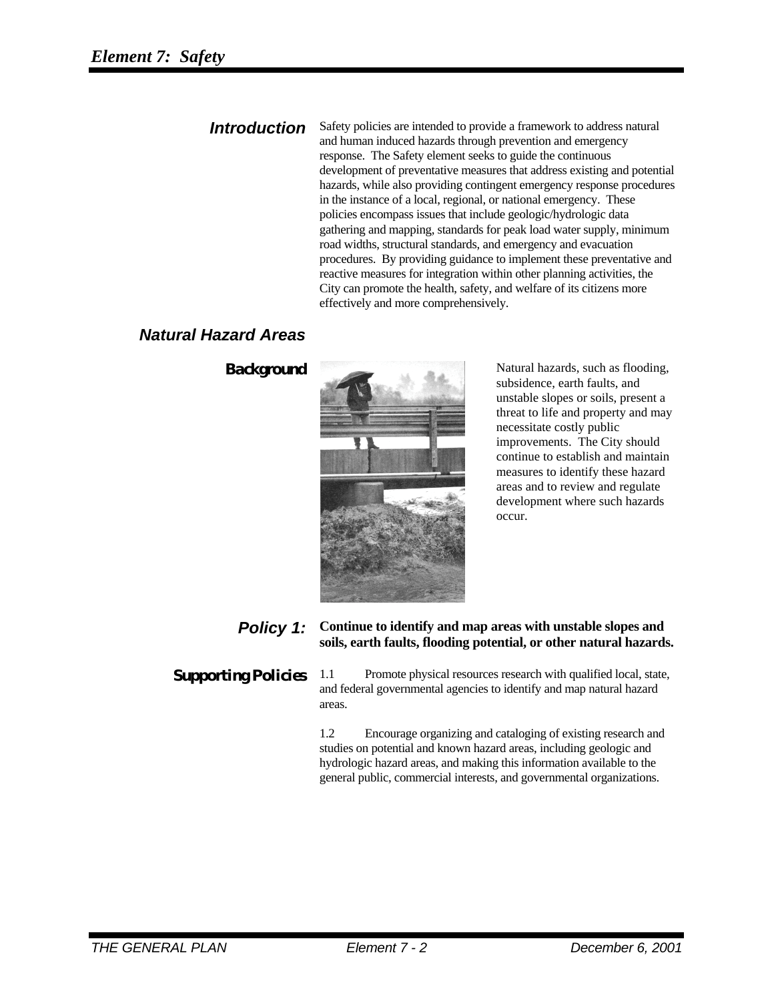**Introduction** Safety policies are intended to provide a framework to address natural and human induced hazards through prevention and emergency response. The Safety element seeks to guide the continuous development of preventative measures that address existing and potential hazards, while also providing contingent emergency response procedures in the instance of a local, regional, or national emergency. These policies encompass issues that include geologic/hydrologic data gathering and mapping, standards for peak load water supply, minimum road widths, structural standards, and emergency and evacuation procedures. By providing guidance to implement these preventative and reactive measures for integration within other planning activities, the City can promote the health, safety, and welfare of its citizens more effectively and more comprehensively.

## *Natural Hazard Areas*



**Background** Natural hazards, such as flooding, subsidence, earth faults, and unstable slopes or soils, present a threat to life and property and may necessitate costly public improvements. The City should continue to establish and maintain measures to identify these hazard areas and to review and regulate development where such hazards occur.

## *Policy 1:* **Continue to identify and map areas with unstable slopes and soils, earth faults, flooding potential, or other natural hazards.**

**Supporting Policies** 1.1 Promote physical resources research with qualified local, state, and federal governmental agencies to identify and map natural hazard areas.

> 1.2 Encourage organizing and cataloging of existing research and studies on potential and known hazard areas, including geologic and hydrologic hazard areas, and making this information available to the general public, commercial interests, and governmental organizations.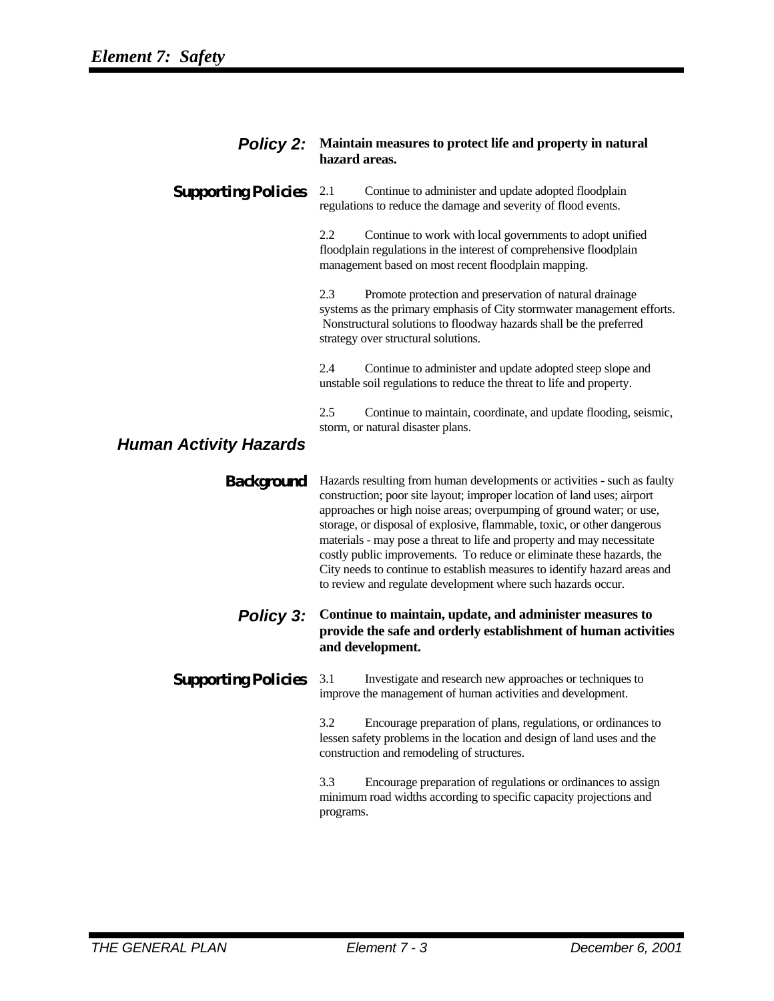|                               | <b>Policy 2:</b> Maintain measures to protect life and property in natural<br>hazard areas.                                                                                                                                                                                                                                                                                                                                                                                                                                                                                                            |
|-------------------------------|--------------------------------------------------------------------------------------------------------------------------------------------------------------------------------------------------------------------------------------------------------------------------------------------------------------------------------------------------------------------------------------------------------------------------------------------------------------------------------------------------------------------------------------------------------------------------------------------------------|
| <b>Supporting Policies</b>    | 2.1<br>Continue to administer and update adopted floodplain<br>regulations to reduce the damage and severity of flood events.                                                                                                                                                                                                                                                                                                                                                                                                                                                                          |
|                               | 2.2<br>Continue to work with local governments to adopt unified<br>floodplain regulations in the interest of comprehensive floodplain<br>management based on most recent floodplain mapping.                                                                                                                                                                                                                                                                                                                                                                                                           |
|                               | 2.3<br>Promote protection and preservation of natural drainage<br>systems as the primary emphasis of City stormwater management efforts.<br>Nonstructural solutions to floodway hazards shall be the preferred<br>strategy over structural solutions.                                                                                                                                                                                                                                                                                                                                                  |
|                               | 2.4<br>Continue to administer and update adopted steep slope and<br>unstable soil regulations to reduce the threat to life and property.                                                                                                                                                                                                                                                                                                                                                                                                                                                               |
| <b>Human Activity Hazards</b> | 2.5<br>Continue to maintain, coordinate, and update flooding, seismic,<br>storm, or natural disaster plans.                                                                                                                                                                                                                                                                                                                                                                                                                                                                                            |
| <b>Background</b>             | Hazards resulting from human developments or activities - such as faulty<br>construction; poor site layout; improper location of land uses; airport<br>approaches or high noise areas; overpumping of ground water; or use,<br>storage, or disposal of explosive, flammable, toxic, or other dangerous<br>materials - may pose a threat to life and property and may necessitate<br>costly public improvements. To reduce or eliminate these hazards, the<br>City needs to continue to establish measures to identify hazard areas and<br>to review and regulate development where such hazards occur. |
| <b>Policy 3:</b>              | Continue to maintain, update, and administer measures to<br>provide the safe and orderly establishment of human activities<br>and development.                                                                                                                                                                                                                                                                                                                                                                                                                                                         |
| <b>Supporting Policies</b>    | 3.1<br>Investigate and research new approaches or techniques to<br>improve the management of human activities and development.                                                                                                                                                                                                                                                                                                                                                                                                                                                                         |
|                               | 3.2<br>Encourage preparation of plans, regulations, or ordinances to<br>lessen safety problems in the location and design of land uses and the<br>construction and remodeling of structures.                                                                                                                                                                                                                                                                                                                                                                                                           |
|                               | 3.3<br>Encourage preparation of regulations or ordinances to assign<br>minimum road widths according to specific capacity projections and<br>programs.                                                                                                                                                                                                                                                                                                                                                                                                                                                 |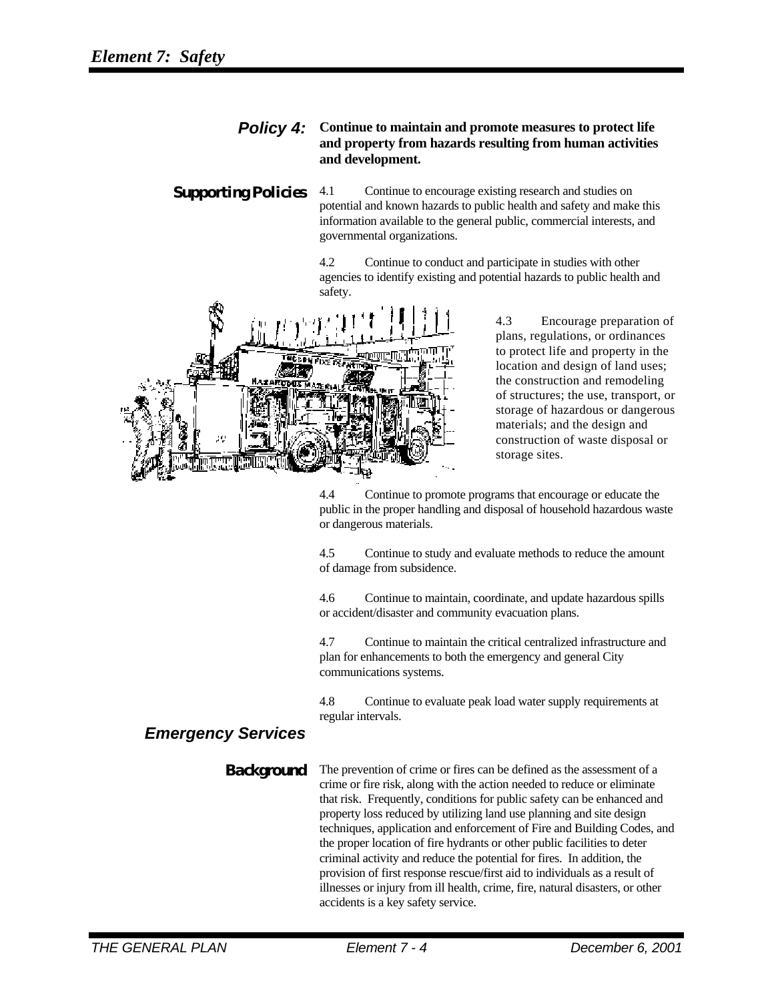### *Policy 4:* **Continue to maintain and promote measures to protect life and property from hazards resulting from human activities and development.**

**Supporting Policies** 4.1 Continue to encourage existing research and studies on potential and known hazards to public health and safety and make this information available to the general public, commercial interests, and governmental organizations.

> 4.2 Continue to conduct and participate in studies with other agencies to identify existing and potential hazards to public health and safety.



4.3 Encourage preparation of plans, regulations, or ordinances to protect life and property in the location and design of land uses; the construction and remodeling of structures; the use, transport, or storage of hazardous or dangerous materials; and the design and construction of waste disposal or storage sites.

4.4 Continue to promote programs that encourage or educate the public in the proper handling and disposal of household hazardous waste or dangerous materials.

4.5 Continue to study and evaluate methods to reduce the amount of damage from subsidence.

4.6 Continue to maintain, coordinate, and update hazardous spills or accident/disaster and community evacuation plans.

4.7 Continue to maintain the critical centralized infrastructure and plan for enhancements to both the emergency and general City communications systems.

4.8 Continue to evaluate peak load water supply requirements at regular intervals.

## *Emergency Services*

**Background** The prevention of crime or fires can be defined as the assessment of a crime or fire risk, along with the action needed to reduce or eliminate that risk. Frequently, conditions for public safety can be enhanced and property loss reduced by utilizing land use planning and site design techniques, application and enforcement of Fire and Building Codes, and the proper location of fire hydrants or other public facilities to deter criminal activity and reduce the potential for fires. In addition, the provision of first response rescue/first aid to individuals as a result of illnesses or injury from ill health, crime, fire, natural disasters, or other accidents is a key safety service.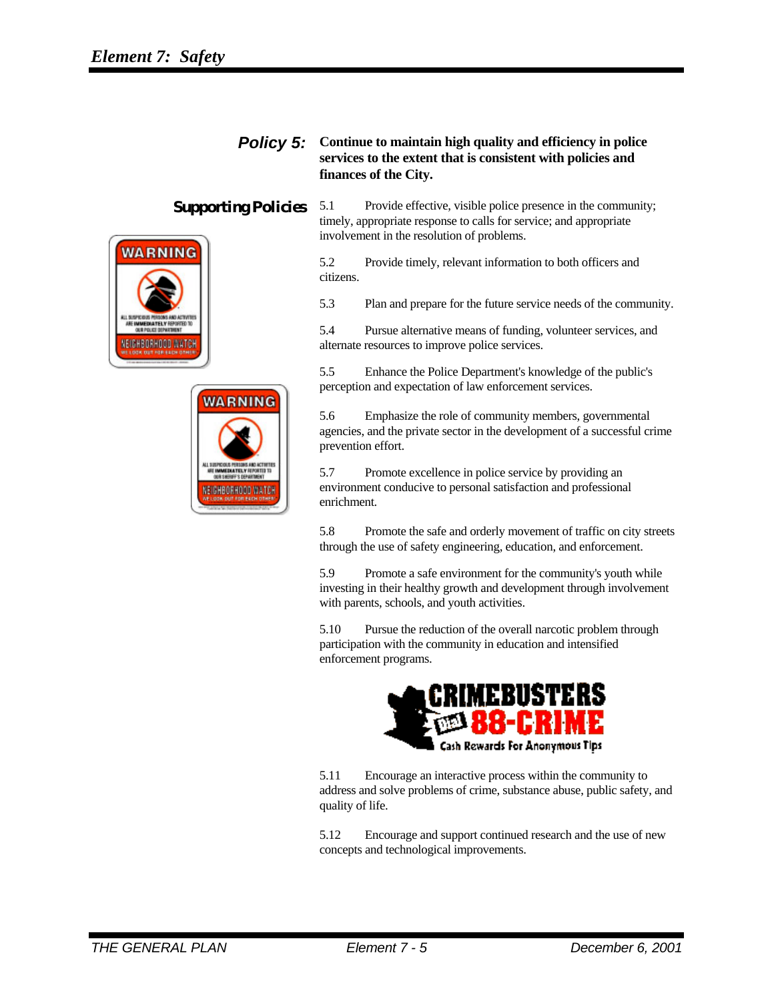



## *Policy 5:* **Continue to maintain high quality and efficiency in police services to the extent that is consistent with policies and finances of the City.**

**Supporting Policies** 5.1 Provide effective, visible police presence in the community; timely, appropriate response to calls for service; and appropriate involvement in the resolution of problems.

> 5.2 Provide timely, relevant information to both officers and citizens.

5.3 Plan and prepare for the future service needs of the community.

5.4 Pursue alternative means of funding, volunteer services, and alternate resources to improve police services.

5.5 Enhance the Police Department's knowledge of the public's perception and expectation of law enforcement services.

5.6 Emphasize the role of community members, governmental agencies, and the private sector in the development of a successful crime prevention effort.

5.7 Promote excellence in police service by providing an environment conducive to personal satisfaction and professional enrichment.

5.8 Promote the safe and orderly movement of traffic on city streets through the use of safety engineering, education, and enforcement.

5.9 Promote a safe environment for the community's youth while investing in their healthy growth and development through involvement with parents, schools, and youth activities.

5.10 Pursue the reduction of the overall narcotic problem through participation with the community in education and intensified enforcement programs.



5.11 Encourage an interactive process within the community to address and solve problems of crime, substance abuse, public safety, and quality of life.

5.12 Encourage and support continued research and the use of new concepts and technological improvements.